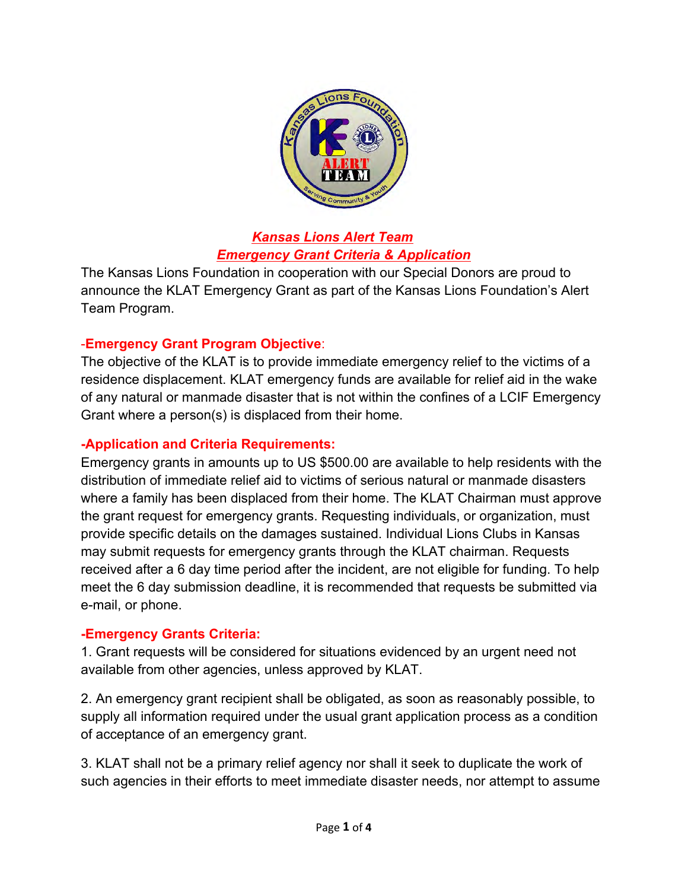

### *Kansas Lions Alert Team Emergency Grant Criteria & Application*

The Kansas Lions Foundation in cooperation with our Special Donors are proud to announce the KLAT Emergency Grant as part of the Kansas Lions Foundation's Alert Team Program.

## -**Emergency Grant Program Objective**:

The objective of the KLAT is to provide immediate emergency relief to the victims of a residence displacement. KLAT emergency funds are available for relief aid in the wake of any natural or manmade disaster that is not within the confines of a LCIF Emergency Grant where a person(s) is displaced from their home.

### **Application and Criteria Requirements:**

Emergency grants in amounts up to US \$500.00 are available to help residents with the distribution of immediate relief aid to victims of serious natural or manmade disasters where a family has been displaced from their home. The KLAT Chairman must approve the grant request for emergency grants. Requesting individuals, or organization, must provide specific details on the damages sustained. Individual Lions Clubs in Kansas may submit requests for emergency grants through the KLAT chairman. Requests received after a 6 day time period after the incident, are not eligible for funding. To help meet the 6 day submission deadline, it is recommended that requests be submitted via e-mail, or phone.

### **Emergency Grants Criteria:**

1. Grant requests will be considered for situations evidenced by an urgent need not available from other agencies, unless approved by KLAT.

2. An emergency grant recipient shall be obligated, as soon as reasonably possible, to supply all information required under the usual grant application process as a condition of acceptance of an emergency grant.

3. KLAT shall not be a primary relief agency nor shall it seek to duplicate the work of such agencies in their efforts to meet immediate disaster needs, nor attempt to assume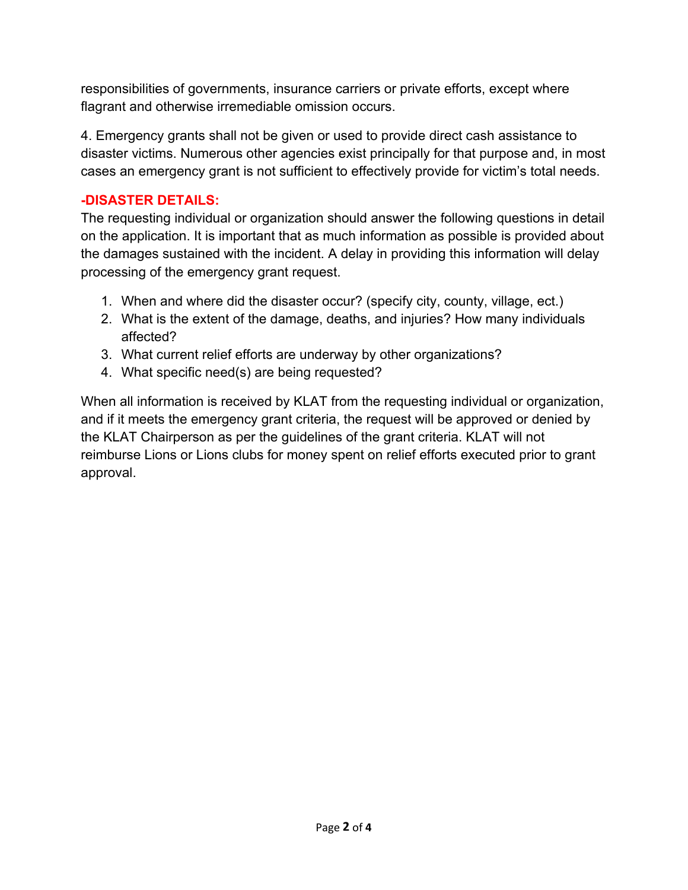responsibilities of governments, insurance carriers or private efforts, except where flagrant and otherwise irremediable omission occurs.

responsibilities of governments, insurance carriers or private efforts, except where<br>flagrant and otherwise irremediable omission occurs.<br>4. Emergency grants shall not be given or used to provide direct cash assistance to<br> disaster victims. Numerous other agencies exist principally for that purpose and, in most cases an emergency grant is not sufficient to effectively provide for victim's total needs.

## **-DISASTER DETAILS:**

The requesting individual or organization should answer the following questions in detail on the application. It is important that as much information as possible is provided about the damages sustained with the incident. A delay in providing this information will delay processing of the emergency grant request.

- 1. When and where did the disaster occur? (specify city, county, village, ect.)
- 2. What is the extent of the damage, deaths, and injuries? How many individuals affected?
- 3. What current relief efforts are underway by other organizations?
- 4. What specific need(s) are being requested?

When all information is received by KLAT from the requesting individual or organization, and if it meets the emergency grant criteria, the request will be approved or denied by the KLAT Chairperson as per the guidelines of the grant criteria. KLAT will not reimburse Lions or Lions clubs for money spent on relief efforts executed prior to grant approval.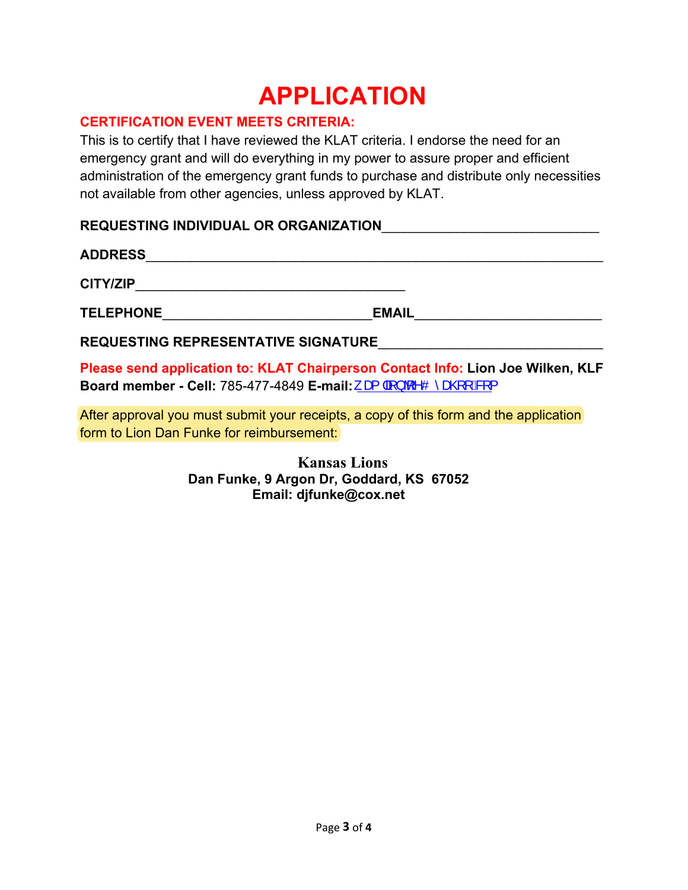# **APPLICATION**

### **CERTIFICATION EVENT MEETS CRITERIA:**

This is to certify that I have reviewed the KLAT criteria. I endorse the need for an emergency grant and will do everything in my power to assure proper and efficient administration of the emergency grant funds to purchase and distribute only necessities not available from other agencies, unless approved by KLAT.

#### **REQUESTING INDIVIDUAL OR ORGANIZATION**\_\_\_\_\_\_\_\_\_\_\_\_\_\_\_\_\_\_\_\_\_\_\_\_\_\_\_\_\_

## **ADDRESS**\_\_\_\_\_\_\_\_\_\_\_\_\_\_\_\_\_\_\_\_\_\_\_\_\_\_\_\_\_\_\_\_\_\_\_\_\_\_\_\_\_\_\_\_\_\_\_\_\_\_\_\_\_\_\_\_\_\_\_\_\_

**CITY/ZIP**\_\_\_\_\_\_\_\_\_\_\_\_\_\_\_\_\_\_\_\_\_\_\_\_\_\_\_\_\_\_\_\_\_\_\_\_

**TELEPHONE**\_\_\_\_\_\_\_\_\_\_\_\_\_\_\_\_\_\_\_\_\_\_\_\_\_\_\_\_**EMAIL**\_\_\_\_\_\_\_\_\_\_\_\_\_\_\_\_\_\_\_\_\_\_\_\_\_

**REQUESTING REPRESENTATIVE SIGNATURE**\_\_\_\_\_\_\_\_\_\_\_\_\_\_\_\_\_\_\_\_\_\_\_\_\_\_\_\_\_\_

**Please send application to: KLAT Chairperson Contact Info: Lion Joe Wilken, KLF Board member - Cell:** 785-477-4849 **E-mail:**  $\mathcal{R}$  |  $\frac{1}{4}$  |  $\frac{1}{9}$  ^O  $\hat{\mathcal{R}}$  |  $\frac{1}{10}$  |

After approval you must submit your receipts, a copy of this form and the application form to Lion Dan Funke for reimbursement:

> **Kansas Lions Dan Funke, 9 Argon Dr, Goddard, KS 67052 Email: djfunke@cox.net**